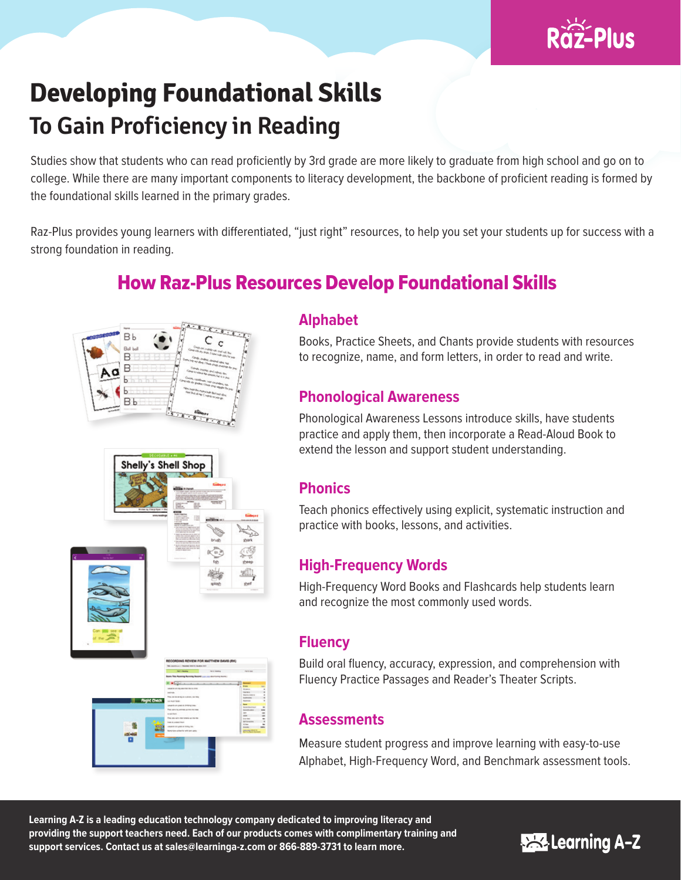

# **Developing Foundational Skills To Gain Proficiency in Reading**

Studies show that students who can read proficiently by 3rd grade are more likely to graduate from high school and go on to college. While there are many important components to literacy development, the backbone of proficient reading is formed by the foundational skills learned in the primary grades.

Raz-Plus provides young learners with differentiated, "just right" resources, to help you set your students up for success with a strong foundation in reading.

## How Raz-Plus Resources Develop Foundational Skills





## **Alphabet**

Books, Practice Sheets, and Chants provide students with resources to recognize, name, and form letters, in order to read and write.

## **Phonological Awareness**

Phonological Awareness Lessons introduce skills, have students practice and apply them, then incorporate a Read-Aloud Book to extend the lesson and support student understanding.

## **Phonics**

Teach phonics effectively using explicit, systematic instruction and practice with books, lessons, and activities.

## **High-Frequency Words**

High-Frequency Word Books and Flashcards help students learn and recognize the most commonly used words.

## **Fluency**

Build oral fluency, accuracy, expression, and comprehension with Fluency Practice Passages and Reader's Theater Scripts.

## **Assessments**

Measure student progress and improve learning with easy-to-use Alphabet, High-Frequency Word, and Benchmark assessment tools.

**Learning A-Z is a leading education technology company dedicated to improving literacy and providing the support teachers need. Each of our products comes with complimentary training and support services. Contact us at sales@learninga-z.com or 866-889-3731 to learn more.**